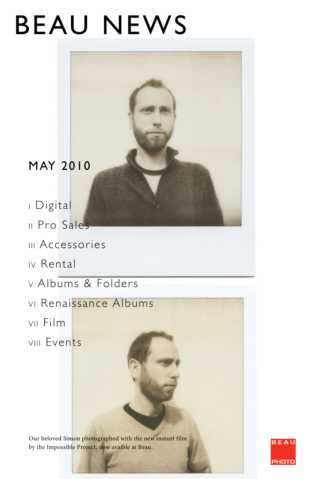# BEAU NEWS

# MAY 2010

I Digital

- II Pro Sales
- III Accessories
- IV Rental
- v Albums & Folders
- VI Renaissance Albums
- VII Film
- VIII Events

Our beloved Simon photographed with the new instant film by the Impossible Project, now avaible at Beau.

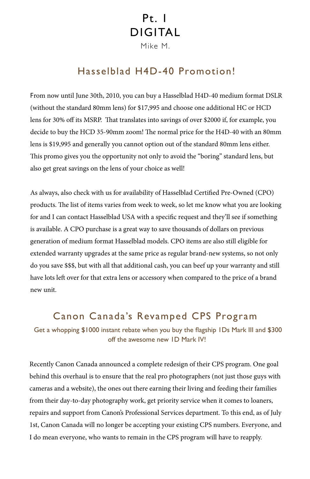# Pt. 1 DIGITAL

Mike M.

#### Hasselblad H4D-40 Promotion!

From now until June 30th, 2010, you can buy a Hasselblad H4D-40 medium format DSLR (without the standard 80mm lens) for \$17,995 and choose one additional HC or HCD lens for 30% off its MSRP. That translates into savings of over \$2000 if, for example, you decide to buy the HCD 35-90mm zoom! The normal price for the H4D-40 with an 80mm lens is \$19,995 and generally you cannot option out of the standard 80mm lens either. This promo gives you the opportunity not only to avoid the "boring" standard lens, but also get great savings on the lens of your choice as well!

As always, also check with us for availability of Hasselblad Certified Pre-Owned (CPO) products. The list of items varies from week to week, so let me know what you are looking for and I can contact Hasselblad USA with a specific request and they'll see if something is available. A CPO purchase is a great way to save thousands of dollars on previous generation of medium format Hasselblad models. CPO items are also still eligible for extended warranty upgrades at the same price as regular brand-new systems, so not only do you save \$\$\$, but with all that additional cash, you can beef up your warranty and still have lots left over for that extra lens or accessory when compared to the price of a brand new unit.

#### Canon Canada's Revamped CPS Program

 Get a whopping \$1000 instant rebate when you buy the flagship 1Ds Mark III and \$300 off the awesome new 1D Mark IV!

Recently Canon Canada announced a complete redesign of their CPS program. One goal behind this overhaul is to ensure that the real pro photographers (not just those guys with cameras and a website), the ones out there earning their living and feeding their families from their day-to-day photography work, get priority service when it comes to loaners, repairs and support from Canon's Professional Services department. To this end, as of July 1st, Canon Canada will no longer be accepting your existing CPS numbers. Everyone, and I do mean everyone, who wants to remain in the CPS program will have to reapply.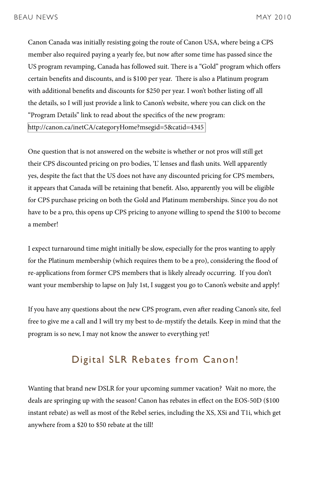Canon Canada was initially resisting going the route of Canon USA, where being a CPS member also required paying a yearly fee, but now after some time has passed since the US program revamping, Canada has followed suit. There is a "Gold" program which offers certain benefits and discounts, and is \$100 per year. There is also a Platinum program with additional benefits and discounts for \$250 per year. I won't bother listing off all the details, so I will just provide a link to Canon's website, where you can click on the "Program Details" link to read about the specifics of the new program: <http://canon.ca/inetCA/categoryHome?msegid=5&catid=4345>

One question that is not answered on the website is whether or not pros will still get their CPS discounted pricing on pro bodies, 'L' lenses and flash units. Well apparently yes, despite the fact that the US does not have any discounted pricing for CPS members, it appears that Canada will be retaining that benefit. Also, apparently you will be eligible for CPS purchase pricing on both the Gold and Platinum memberships. Since you do not have to be a pro, this opens up CPS pricing to anyone willing to spend the \$100 to become a member!

I expect turnaround time might initially be slow, especially for the pros wanting to apply for the Platinum membership (which requires them to be a pro), considering the flood of re-applications from former CPS members that is likely already occurring. If you don't want your membership to lapse on July 1st, I suggest you go to Canon's website and apply!

If you have any questions about the new CPS program, even after reading Canon's site, feel free to give me a call and I will try my best to de-mystify the details. Keep in mind that the program is so new, I may not know the answer to everything yet!

#### Digital SLR Rebates from Canon!

Wanting that brand new DSLR for your upcoming summer vacation? Wait no more, the deals are springing up with the season! Canon has rebates in effect on the EOS-50D (\$100 instant rebate) as well as most of the Rebel series, including the XS, XSi and T1i, which get anywhere from a \$20 to \$50 rebate at the till!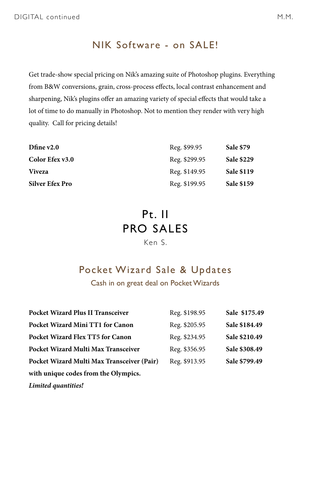#### NIK Software - on SALE!

Get trade-show special pricing on Nik's amazing suite of Photoshop plugins. Everything from B&W conversions, grain, cross-process effects, local contrast enhancement and sharpening, Nik's plugins offer an amazing variety of special effects that would take a lot of time to do manually in Photoshop. Not to mention they render with very high quality. Call for pricing details!

| Dfine $v2.0$           | Reg. \$99.95  | Sale \$79         |
|------------------------|---------------|-------------------|
| Color Efex v3.0        | Reg. \$299.95 | <b>Sale \$229</b> |
| <b>Viveza</b>          | Reg. \$149.95 | <b>Sale \$119</b> |
| <b>Silver Efex Pro</b> | Reg. \$199.95 | <b>Sale \$159</b> |

## Pt. II PRO SALES

#### Ken S.

#### Pocket Wizard Sale & Updates

Cash in on great deal on Pocket Wizards

| <b>Pocket Wizard Plus II Transceiver</b>   | Reg. \$198.95 | Sale \$175.49 |
|--------------------------------------------|---------------|---------------|
| Pocket Wizard Mini TT1 for Canon           | Reg. \$205.95 | Sale \$184.49 |
| <b>Pocket Wizard Flex TT5 for Canon</b>    | Reg. \$234.95 | Sale \$210.49 |
| Pocket Wizard Multi Max Transceiver        | Reg. \$356.95 | Sale \$308.49 |
| Pocket Wizard Multi Max Transceiver (Pair) | Reg. \$913.95 | Sale \$799.49 |
| with unique codes from the Olympics.       |               |               |
| Limited quantities!                        |               |               |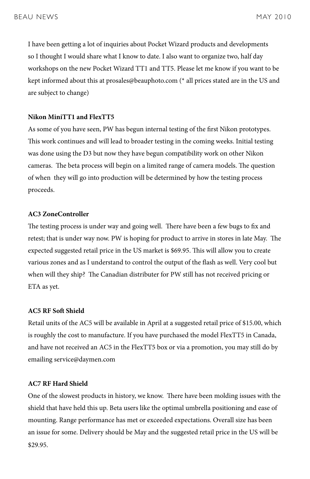I have been getting a lot of inquiries about Pocket Wizard products and developments so I thought I would share what I know to date. I also want to organize two, half day workshops on the new Pocket Wizard TT1 and TT5. Please let me know if you want to be kept informed about this at prosales@beauphoto.com (\* all prices stated are in the US and are subject to change)

#### **Nikon MiniTT1 and FlexTT5**

As some of you have seen, PW has begun internal testing of the first Nikon prototypes. This work continues and will lead to broader testing in the coming weeks. Initial testing was done using the D3 but now they have begun compatibility work on other Nikon cameras. The beta process will begin on a limited range of camera models. The question of when they will go into production will be determined by how the testing process proceeds.

#### **AC3 ZoneController**

The testing process is under way and going well. There have been a few bugs to fix and retest; that is under way now. PW is hoping for product to arrive in stores in late May. The expected suggested retail price in the US market is \$69.95. This will allow you to create various zones and as I understand to control the output of the flash as well. Very cool but when will they ship? The Canadian distributer for PW still has not received pricing or ETA as yet.

#### **AC5 RF Soft Shield**

Retail units of the AC5 will be available in April at a suggested retail price of \$15.00, which is roughly the cost to manufacture. If you have purchased the model FlexTT5 in Canada, and have not received an AC5 in the FlexTT5 box or via a promotion, you may still do by emailing service@daymen.com

#### **AC7 RF Hard Shield**

One of the slowest products in history, we know. There have been molding issues with the shield that have held this up. Beta users like the optimal umbrella positioning and ease of mounting. Range performance has met or exceeded expectations. Overall size has been an issue for some. Delivery should be May and the suggested retail price in the US will be \$29.95.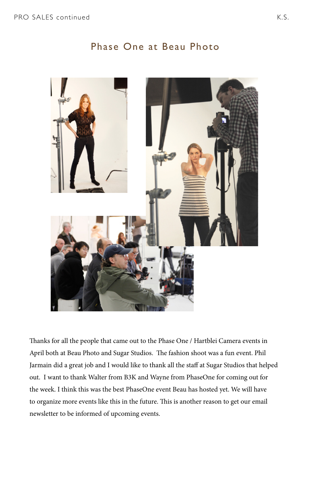#### Phase One at Beau Photo



Thanks for all the people that came out to the Phase One / Hartblei Camera events in April both at Beau Photo and Sugar Studios. The fashion shoot was a fun event. Phil Jarmain did a great job and I would like to thank all the staff at Sugar Studios that helped out. I want to thank Walter from B3K and Wayne from PhaseOne for coming out for the week. I think this was the best PhaseOne event Beau has hosted yet. We will have to organize more events like this in the future. This is another reason to get our email newsletter to be informed of upcoming events.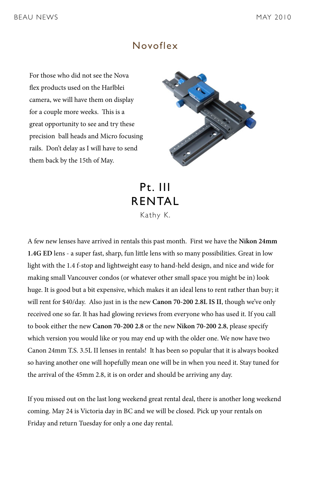#### Novoflex

For those who did not see the Nova flex products used on the Harlblei camera, we will have them on display for a couple more weeks. This is a great opportunity to see and try these precision ball heads and Micro focusing rails. Don't delay as I will have to send them back by the 15th of May.



Pt. III RENTAL Kathy K.

A few new lenses have arrived in rentals this past month. First we have the **Nikon 24mm 1.4G ED** lens - a super fast, sharp, fun little lens with so many possibilities. Great in low light with the 1.4 f-stop and lightweight easy to hand-held design, and nice and wide for making small Vancouver condos (or whatever other small space you might be in) look huge. It is good but a bit expensive, which makes it an ideal lens to rent rather than buy; it will rent for \$40/day. Also just in is the new **Canon 70-200 2.8L IS II**, though we've only received one so far. It has had glowing reviews from everyone who has used it. If you call to book either the new **Canon 70-200 2.8** or the new **Nikon 70-200 2.8**, please specify which version you would like or you may end up with the older one. We now have two Canon 24mm T.S. 3.5L II lenses in rentals! It has been so popular that it is always booked so having another one will hopefully mean one will be in when you need it. Stay tuned for the arrival of the 45mm 2.8, it is on order and should be arriving any day.

If you missed out on the last long weekend great rental deal, there is another long weekend coming. May 24 is Victoria day in BC and we will be closed. Pick up your rentals on Friday and return Tuesday for only a one day rental.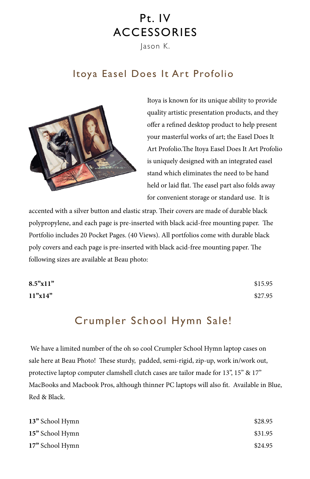# Pt. IV ACCESSORIES

Jason K.

## Itoya Easel Does It Art Profolio



Itoya is known for its unique ability to provide quality artistic presentation products, and they offer a refined desktop product to help present your masterful works of art; the Easel Does It Art Profolio.The Itoya Easel Does It Art Profolio is uniquely designed with an integrated easel stand which eliminates the need to be hand held or laid flat. The easel part also folds away for convenient storage or standard use. It is

accented with a silver button and elastic strap. Their covers are made of durable black polypropylene, and each page is pre-inserted with black acid-free mounting paper. The Portfolio includes 20 Pocket Pages. (40 Views). All portfolios come with durable black poly covers and each page is pre-inserted with black acid-free mounting paper. The following sizes are available at Beau photo:

| 8.5"x11" | \$15.95 |
|----------|---------|
| 11"x14"  | \$27.95 |

## Crumpler School Hymn Sale!

 We have a limited number of the oh so cool Crumpler School Hymn laptop cases on sale here at Beau Photo! These sturdy, padded, semi-rigid, zip-up, work in/work out, protective laptop computer clamshell clutch cases are tailor made for 13", 15" & 17" MacBooks and Macbook Pros, although thinner PC laptops will also fit. Available in Blue, Red & Black.

| 13" School Hymn | \$28.95 |
|-----------------|---------|
| 15" School Hymn | \$31.95 |
| 17" School Hymn | \$24.95 |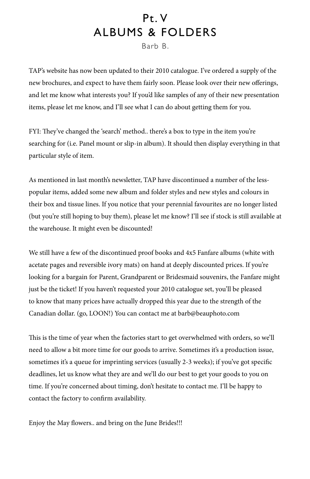# Pt. V ALBUMS & FOLDERS

Barb B.

TAP's website has now been updated to their 2010 catalogue. I've ordered a supply of the new brochures, and expect to have them fairly soon. Please look over their new offerings, and let me know what interests you? If you'd like samples of any of their new presentation items, please let me know, and I'll see what I can do about getting them for you.

FYI: They've changed the 'search' method.. there's a box to type in the item you're searching for (i.e. Panel mount or slip-in album). It should then display everything in that particular style of item.

As mentioned in last month's newsletter, TAP have discontinued a number of the lesspopular items, added some new album and folder styles and new styles and colours in their box and tissue lines. If you notice that your perennial favourites are no longer listed (but you're still hoping to buy them), please let me know? I'll see if stock is still available at the warehouse. It might even be discounted!

We still have a few of the discontinued proof books and 4x5 Fanfare albums (white with acetate pages and reversible ivory mats) on hand at deeply discounted prices. If you're looking for a bargain for Parent, Grandparent or Bridesmaid souvenirs, the Fanfare might just be the ticket! If you haven't requested your 2010 catalogue set, you'll be pleased to know that many prices have actually dropped this year due to the strength of the Canadian dollar. (go, LOON!) You can contact me at barb@beauphoto.com

This is the time of year when the factories start to get overwhelmed with orders, so we'll need to allow a bit more time for our goods to arrive. Sometimes it's a production issue, sometimes it's a queue for imprinting services (usually 2-3 weeks); if you've got specific deadlines, let us know what they are and we'll do our best to get your goods to you on time. If you're concerned about timing, don't hesitate to contact me. I'll be happy to contact the factory to confirm availability.

Enjoy the May flowers.. and bring on the June Brides!!!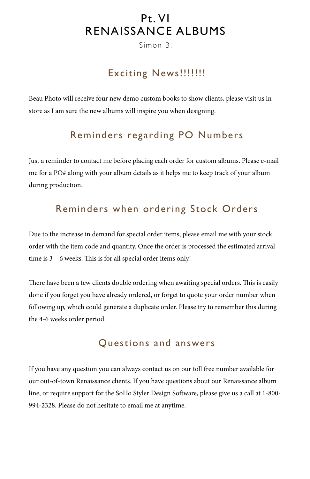## Pt. VI RENAISSANCE ALBUMS

Simon B.

## Exciting News!!!!!!!!

Beau Photo will receive four new demo custom books to show clients, please visit us in store as I am sure the new albums will inspire you when designing.

## Reminders regarding PO Numbers

Just a reminder to contact me before placing each order for custom albums. Please e-mail me for a PO# along with your album details as it helps me to keep track of your album during production.

## Reminders when ordering Stock Orders

Due to the increase in demand for special order items, please email me with your stock order with the item code and quantity. Once the order is processed the estimated arrival time is 3 – 6 weeks. This is for all special order items only!

There have been a few clients double ordering when awaiting special orders. This is easily done if you forget you have already ordered, or forget to quote your order number when following up, which could generate a duplicate order. Please try to remember this during the 4-6 weeks order period.

#### Questions and answers

If you have any question you can always contact us on our toll free number available for our out-of-town Renaissance clients. If you have questions about our Renaissance album line, or require support for the SoHo Styler Design Software, please give us a call at 1-800- 994-2328. Please do not hesitate to email me at anytime.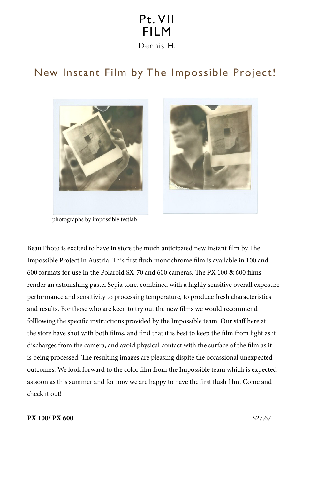## Pt. VII FILM Dennis H.

## New Instant Film by The Impossible Project!



photographs by impossible testlab



Beau Photo is excited to have in store the much anticipated new instant film by The Impossible Project in Austria! This first flush monochrome film is available in 100 and 600 formats for use in the Polaroid SX-70 and 600 cameras. The PX 100 & 600 films render an astonishing pastel Sepia tone, combined with a highly sensitive overall exposure performance and sensitivity to processing temperature, to produce fresh characteristics and results. For those who are keen to try out the new films we would recommend folllowing the specific instructions provided by the Impossible team. Our staff here at the store have shot with both films, and find that it is best to keep the film from light as it discharges from the camera, and avoid physical contact with the surface of the film as it is being processed. The resulting images are pleasing dispite the occassional unexpected outcomes. We look forward to the color film from the Impossible team which is expected as soon as this summer and for now we are happy to have the first flush film. Come and check it out!

#### **PX 100/ PX 600** \$27.67